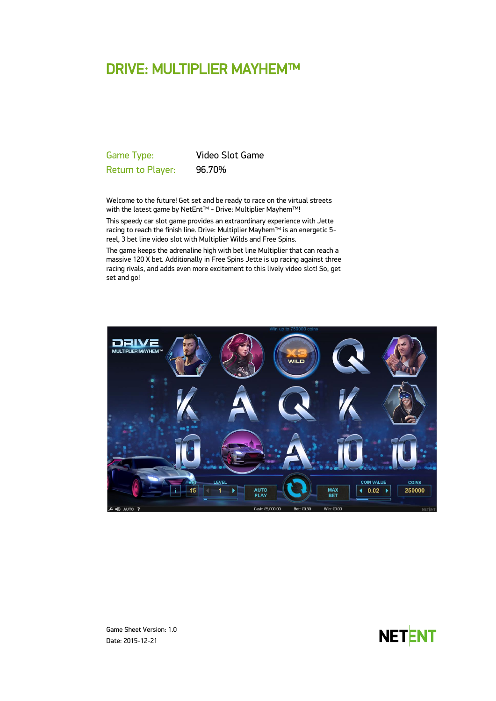# DRIVE: MULTIPLIER MAYHEM™

Game Type: Video Slot Game Return to Player: 96.70%

Welcome to the future! Get set and be ready to race on the virtual streets with the latest game by NetEnt™ - Drive: Multiplier Mayhem™!

This speedy car slot game provides an extraordinary experience with Jette racing to reach the finish line. Drive: Multiplier Mayhem™ is an energetic 5 reel, 3 bet line video slot with Multiplier Wilds and Free Spins.

The game keeps the adrenaline high with bet line Multiplier that can reach a massive 120 X bet. Additionally in Free Spins Jette is up racing against three racing rivals, and adds even more excitement to this lively video slot! So, get set and go!



Game Sheet Version: 1.0 Date: 2015-12-21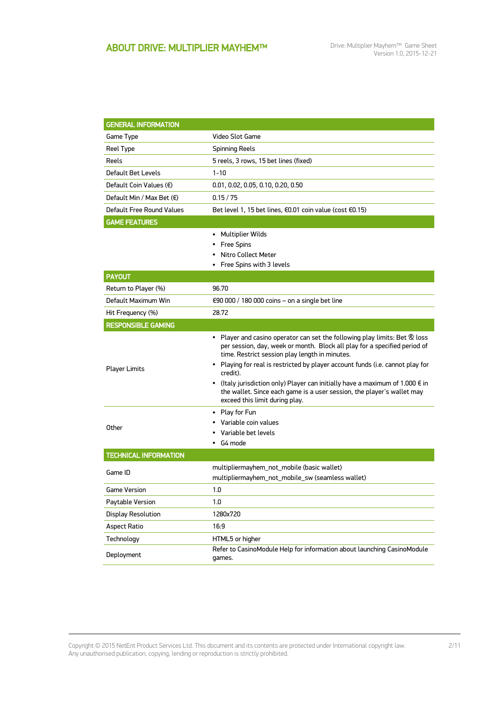| <b>GENERAL INFORMATION</b>         |                                                                                                                                                                                                                                                                                                                                                                                                                                                                                                               |  |
|------------------------------------|---------------------------------------------------------------------------------------------------------------------------------------------------------------------------------------------------------------------------------------------------------------------------------------------------------------------------------------------------------------------------------------------------------------------------------------------------------------------------------------------------------------|--|
| Game Type                          | Video Slot Game                                                                                                                                                                                                                                                                                                                                                                                                                                                                                               |  |
| Reel Type                          | <b>Spinning Reels</b>                                                                                                                                                                                                                                                                                                                                                                                                                                                                                         |  |
| Reels                              | 5 reels, 3 rows, 15 bet lines (fixed)                                                                                                                                                                                                                                                                                                                                                                                                                                                                         |  |
| Default Bet Levels                 | $1 - 10$                                                                                                                                                                                                                                                                                                                                                                                                                                                                                                      |  |
| Default Coin Values (€)            | 0.01, 0.02, 0.05, 0.10, 0.20, 0.50                                                                                                                                                                                                                                                                                                                                                                                                                                                                            |  |
| Default Min / Max Bet $(\epsilon)$ | 0.15/75                                                                                                                                                                                                                                                                                                                                                                                                                                                                                                       |  |
| Default Free Round Values          | Bet level 1, 15 bet lines, €0.01 coin value (cost €0.15)                                                                                                                                                                                                                                                                                                                                                                                                                                                      |  |
| <b>GAME FEATURES</b>               |                                                                                                                                                                                                                                                                                                                                                                                                                                                                                                               |  |
|                                    | Multiplier Wilds<br><b>Free Spins</b><br>٠<br>Nitro Collect Meter<br>Free Spins with 3 levels                                                                                                                                                                                                                                                                                                                                                                                                                 |  |
| <b>PAYOUT</b>                      |                                                                                                                                                                                                                                                                                                                                                                                                                                                                                                               |  |
| Return to Player (%)               | 96.70                                                                                                                                                                                                                                                                                                                                                                                                                                                                                                         |  |
| Default Maximum Win                | €90 000 / 180 000 coins – on a single bet line                                                                                                                                                                                                                                                                                                                                                                                                                                                                |  |
| Hit Frequency (%)                  | 28.72                                                                                                                                                                                                                                                                                                                                                                                                                                                                                                         |  |
| <b>RESPONSIBLE GAMING</b>          |                                                                                                                                                                                                                                                                                                                                                                                                                                                                                                               |  |
| <b>Player Limits</b>               | • Player and casino operator can set the following play limits: Bet & loss<br>per session, day, week or month. Block all play for a specified period of<br>time. Restrict session play length in minutes.<br>• Playing for real is restricted by player account funds (i.e. cannot play for<br>credit).<br>• (Italy jurisdiction only) Player can initially have a maximum of 1.000 $\epsilon$ in<br>the wallet. Since each game is a user session, the player's wallet may<br>exceed this limit during play. |  |
| Other                              | Play for Fun<br>٠<br>Variable coin values<br>Variable bet levels<br>G4 mode                                                                                                                                                                                                                                                                                                                                                                                                                                   |  |
| <b>TECHNICAL INFORMATION</b>       |                                                                                                                                                                                                                                                                                                                                                                                                                                                                                                               |  |
| Game ID                            | multipliermayhem_not_mobile (basic wallet)<br>multipliermayhem_not_mobile_sw (seamless wallet)                                                                                                                                                                                                                                                                                                                                                                                                                |  |
| <b>Game Version</b>                | 1.0                                                                                                                                                                                                                                                                                                                                                                                                                                                                                                           |  |
| Paytable Version                   | 1.0                                                                                                                                                                                                                                                                                                                                                                                                                                                                                                           |  |
| Display Resolution                 | 1280x720                                                                                                                                                                                                                                                                                                                                                                                                                                                                                                      |  |
| Aspect Ratio                       | 16:9                                                                                                                                                                                                                                                                                                                                                                                                                                                                                                          |  |
| Technology                         | HTML5 or higher                                                                                                                                                                                                                                                                                                                                                                                                                                                                                               |  |
| Deployment                         | Refer to CasinoModule Help for information about launching CasinoModule<br>games.                                                                                                                                                                                                                                                                                                                                                                                                                             |  |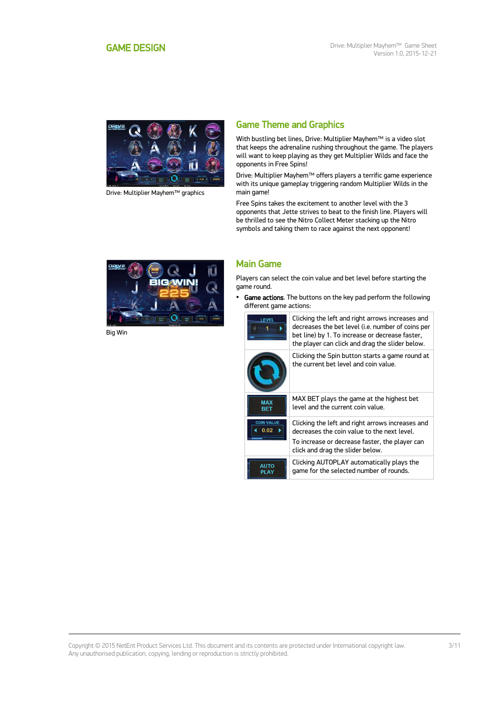<span id="page-2-0"></span>

Drive: Multiplier Mayhem™ graphics

# Game Theme and Graphics

With bustling bet lines, Drive: Multiplier Mayhem™ is a video slot that keeps the adrenaline rushing throughout the game. The players will want to keep playing as they get Multiplier Wilds and face the opponents in Free Spins!

Drive: Multiplier Mayhem™ offers players a terrific game experience with its unique gameplay triggering random Multiplier Wilds in the main game!

Free Spins takes the excitement to another level with the 3 opponents that Jette strives to beat to the finish line. Players will be thrilled to see the Nitro Collect Meter stacking up the Nitro symbols and taking them to race against the next opponent!



Big Win

## Main Game

Players can select the coin value and bet level before starting the game round.

• Game actions. The buttons on the key pad perform the following different game actions:



Clicking the left and right arrows increases and decreases the bet level (i.e. number of coins per bet line) by 1. To increase or decrease faster, the player can click and drag the slider below.

|                           | Clicking the Spin button starts a game round at<br>the current bet level and coin value.        |
|---------------------------|-------------------------------------------------------------------------------------------------|
| <b>MAX</b><br><b>RFT</b>  | MAX BET plays the game at the highest bet<br>level and the current coin value.                  |
| <b>COIN VALUE</b><br>0.02 | Clicking the left and right arrows increases and<br>decreases the coin value to the next level. |
|                           | To increase or decrease faster, the player can<br>click and drag the slider below.              |
| <b>ALITO</b>              | Clicking AUTOPLAY automatically plays the<br>game for the selected number of rounds.            |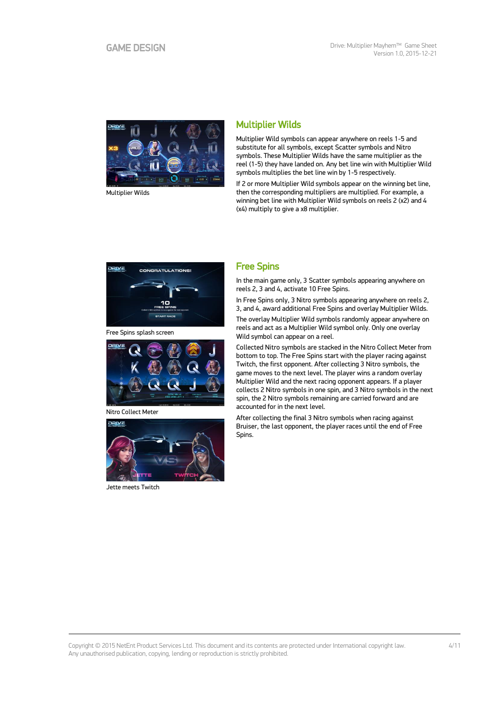

Multiplier Wilds

# Multiplier Wilds

Multiplier Wild symbols can appear anywhere on reels 1-5 and substitute for all symbols, except Scatter symbols and Nitro symbols. These Multiplier Wilds have the same multiplier as the reel (1-5) they have landed on. Any bet line win with Multiplier Wild symbols multiplies the bet line win by 1-5 respectively.

If 2 or more Multiplier Wild symbols appear on the winning bet line, then the corresponding multipliers are multiplied. For example, a winning bet line with Multiplier Wild symbols on reels 2 (x2) and 4 (x4) multiply to give a x8 multiplier.



Free Spins splash screen



Nitro Collect Meter



Jette meets Twitch

## Free Spins

In the main game only, 3 Scatter symbols appearing anywhere on reels 2, 3 and 4, activate 10 Free Spins.

In Free Spins only, 3 Nitro symbols appearing anywhere on reels 2, 3, and 4, award additional Free Spins and overlay Multiplier Wilds.

The overlay Multiplier Wild symbols randomly appear anywhere on reels and act as a Multiplier Wild symbol only. Only one overlay Wild symbol can appear on a reel.

Collected Nitro symbols are stacked in the Nitro Collect Meter from bottom to top. The Free Spins start with the player racing against Twitch, the first opponent. After collecting 3 Nitro symbols, the game moves to the next level. The player wins a random overlay Multiplier Wild and the next racing opponent appears. If a player collects 2 Nitro symbols in one spin, and 3 Nitro symbols in the next spin, the 2 Nitro symbols remaining are carried forward and are accounted for in the next level.

After collecting the final 3 Nitro symbols when racing against Bruiser, the last opponent, the player races until the end of Free Spins.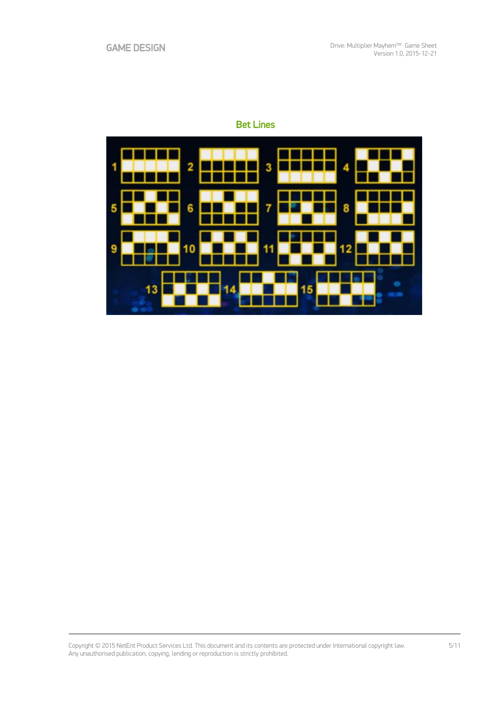# Bet Lines

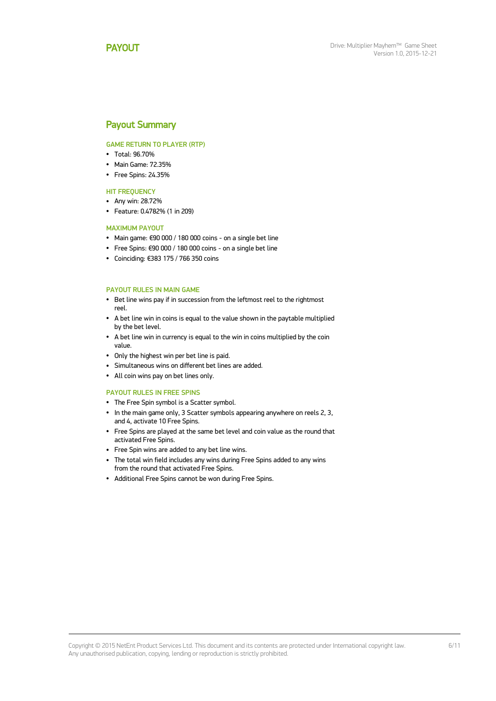### <span id="page-5-0"></span>Payout Summary

#### GAME RETURN TO PLAYER (RTP)

- Total: 96.70%
- Main Game: 72.35%
- Free Spins: 24.35%

#### **HIT FREQUENCY**

- Any win: 28.72%
- Feature: 0.4782% (1 in 209)

#### MAXIMUM PAYOUT

- Main game: €90 000 / 180 000 coins on a single bet line
- Free Spins: €90 000 / 180 000 coins on a single bet line
- Coinciding: €383 175 / 766 350 coins

#### PAYOUT RULES IN MAIN GAME

- Bet line wins pay if in succession from the leftmost reel to the rightmost reel.
- A bet line win in coins is equal to the value shown in the paytable multiplied by the bet level.
- A bet line win in currency is equal to the win in coins multiplied by the coin value.
- Only the highest win per bet line is paid.
- Simultaneous wins on different bet lines are added.
- All coin wins pay on bet lines only.

#### PAYOUT RULES IN FREE SPINS

- The Free Spin symbol is a Scatter symbol.
- In the main game only, 3 Scatter symbols appearing anywhere on reels 2, 3, and 4, activate 10 Free Spins.
- Free Spins are played at the same bet level and coin value as the round that activated Free Spins.
- Free Spin wins are added to any bet line wins.
- The total win field includes any wins during Free Spins added to any wins from the round that activated Free Spins.
- Additional Free Spins cannot be won during Free Spins.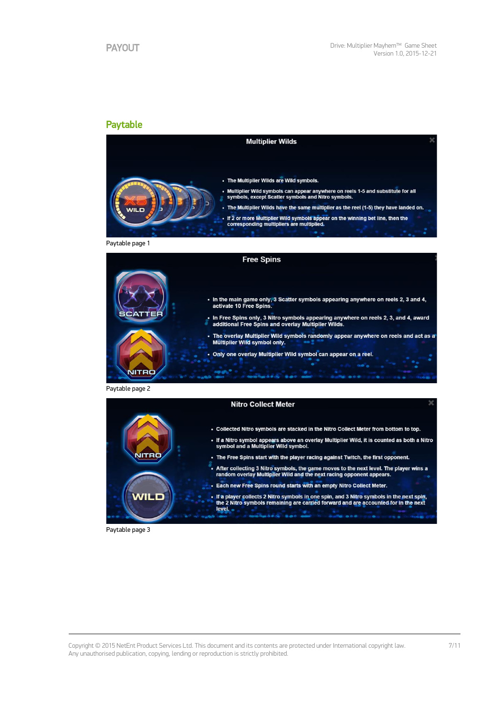### Paytable



Paytable page 1



Paytable page 2



Paytable page 3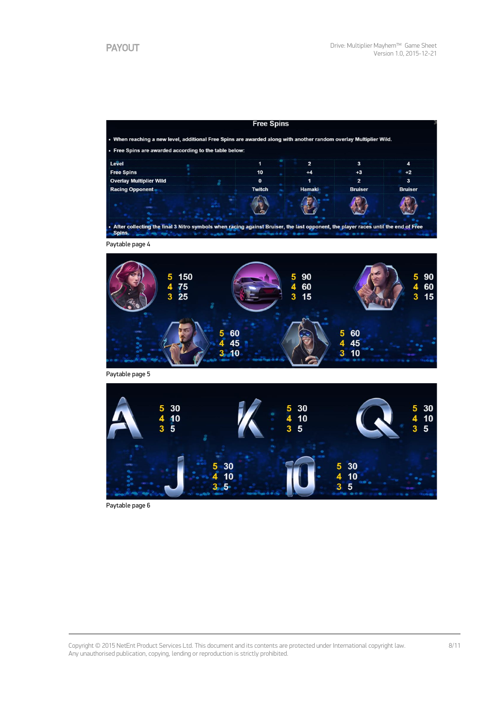| . When reaching a new level, additional Free Spins are awarded along with another random overlay Multiplier Wild. |               |        |                |                |
|-------------------------------------------------------------------------------------------------------------------|---------------|--------|----------------|----------------|
| • Free Spins are awarded according to the table below:                                                            |               |        |                |                |
| Level                                                                                                             |               |        | 3              |                |
| <b>Free Spins</b>                                                                                                 | 10            |        | $+3$           | $+2$           |
| Overlay Multiplier Wild                                                                                           | 0             |        |                |                |
| <b>Racing Opponent</b>                                                                                            | <b>Twitch</b> | Hamaki | <b>Bruiser</b> | <b>Bruiser</b> |
|                                                                                                                   |               |        |                |                |
| -                                                                                                                 |               |        |                |                |

Paytable page 4



Paytable page 5



Paytable page 6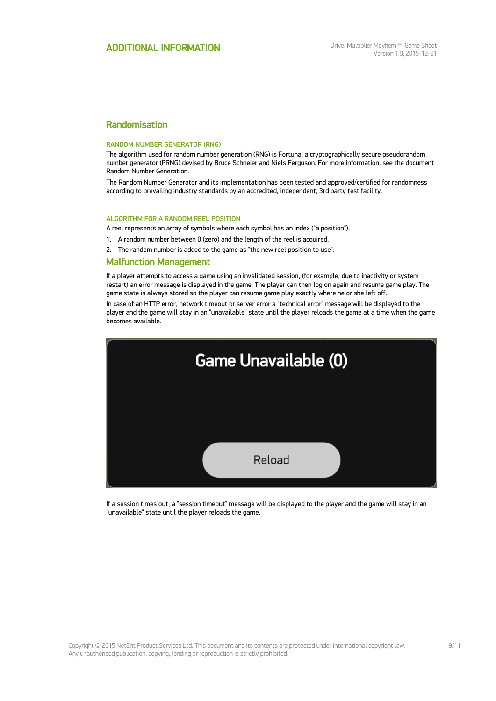## Randomisation

#### RANDOM NUMBER GENERATOR (RNG)

The algorithm used for random number generation (RNG) is Fortuna, a cryptographically secure pseudorandom number generator (PRNG) devised by Bruce Schneier and Niels Ferguson. For more information, see the document Random Number Generation.

The Random Number Generator and its implementation has been tested and approved/certified for randomness according to prevailing industry standards by an accredited, independent, 3rd party test facility.

#### ALGORITHM FOR A RANDOM REEL POSITION

A reel represents an array of symbols where each symbol has an index ("a position").

- 1. A random number between 0 (zero) and the length of the reel is acquired.
- 2. The random number is added to the game as "the new reel position to use".

### Malfunction Management

If a player attempts to access a game using an invalidated session, (for example, due to inactivity or system restart) an error message is displayed in the game. The player can then log on again and resume game play. The game state is always stored so the player can resume game play exactly where he or she left off.

In case of an HTTP error, network timeout or server error a "technical error" message will be displayed to the player and the game will stay in an "unavailable" state until the player reloads the game at a time when the game becomes available.



If a session times out, a "session timeout" message will be displayed to the player and the game will stay in an "unavailable" state until the player reloads the game.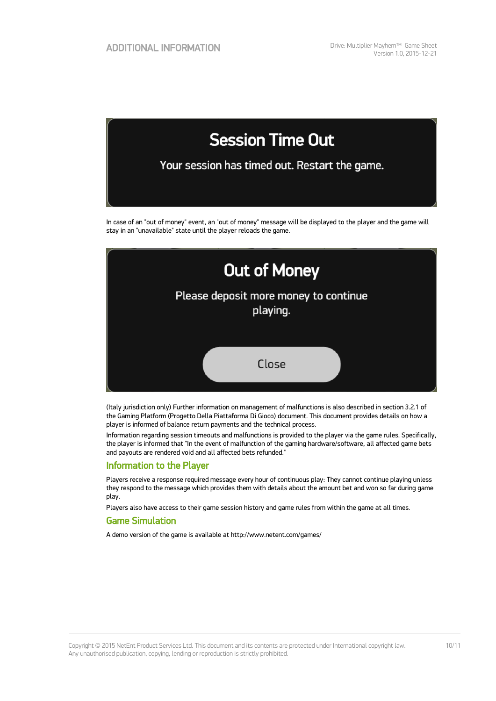

In case of an "out of money" event, an "out of money" message will be displayed to the player and the game will stay in an "unavailable" state until the player reloads the game.



(Italy jurisdiction only) Further information on management of malfunctions is also described in section 3.2.1 of the Gaming Platform (Progetto Della Piattaforma Di Gioco) document. This document provides details on how a player is informed of balance return payments and the technical process.

Information regarding session timeouts and malfunctions is provided to the player via the game rules. Specifically, the player is informed that "In the event of malfunction of the gaming hardware/software, all affected game bets and payouts are rendered void and all affected bets refunded."

### Information to the Player

Players receive a response required message every hour of continuous play: They cannot continue playing unless they respond to the message which provides them with details about the amount bet and won so far during game play.

Players also have access to their game session history and game rules from within the game at all times.

### Game Simulation

A demo version of the game is available at http://www.netent.com/games/